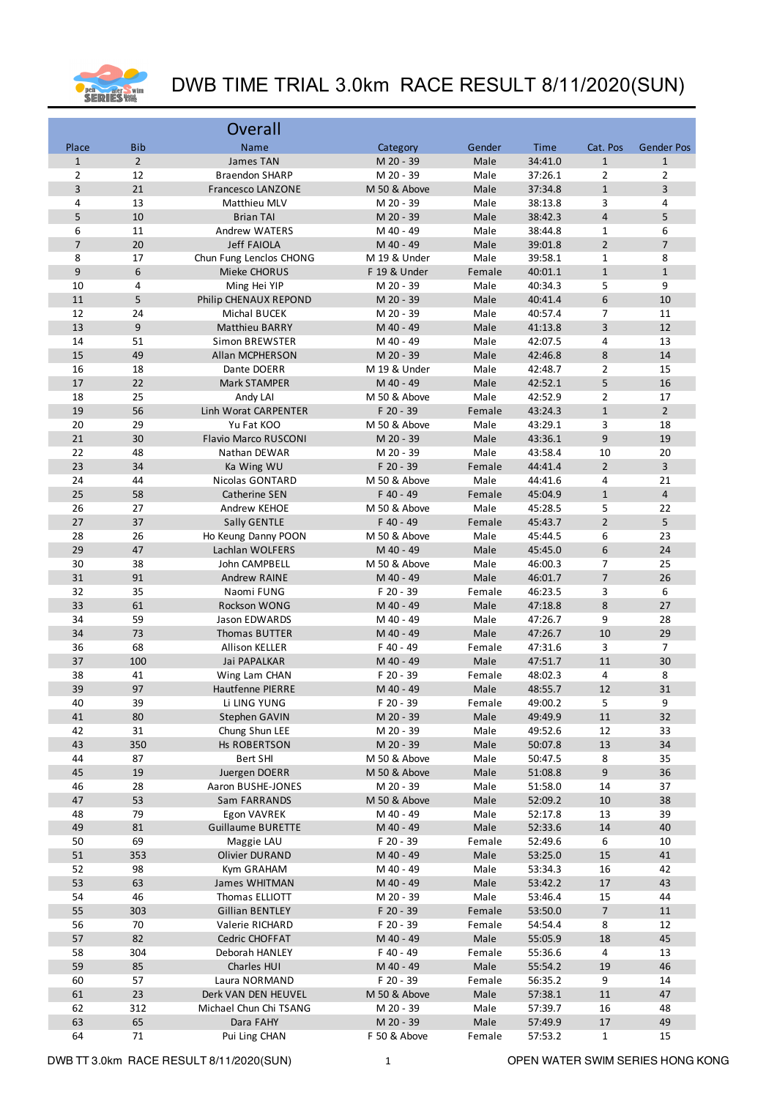

|                |                | Overall                                 |                           |                |                    |                     |                         |
|----------------|----------------|-----------------------------------------|---------------------------|----------------|--------------------|---------------------|-------------------------|
| Place          | <b>Bib</b>     | Name                                    | Category                  | Gender         | Time               | Cat. Pos            | <b>Gender Pos</b>       |
| $\mathbf{1}$   | $\overline{2}$ | James TAN                               | M 20 - 39                 | Male           | 34:41.0            | $\mathbf{1}$        | $\mathbf{1}$            |
| $\overline{2}$ | 12             | <b>Braendon SHARP</b>                   | M 20 - 39                 | Male           | 37:26.1            | $\overline{2}$      | $\overline{2}$          |
| 3              | 21             | <b>Francesco LANZONE</b>                | M 50 & Above              | Male           | 37:34.8            | $1\,$               | 3                       |
| 4              | 13             | Matthieu MLV                            | M 20 - 39                 | Male           | 38:13.8            | 3                   | 4                       |
| 5              | 10             | <b>Brian TAI</b>                        | M 20 - 39                 | Male           | 38:42.3            | $\overline{4}$      | 5                       |
| 6              | 11             | Andrew WATERS                           | M 40 - 49                 | Male           | 38:44.8            | $\mathbf{1}$        | 6                       |
| $\overline{7}$ | 20             | <b>Jeff FAIOLA</b>                      | M 40 - 49                 | Male           | 39:01.8            | $\overline{2}$      | $\overline{7}$          |
| 8              | 17             | Chun Fung Lenclos CHONG                 | M 19 & Under              | Male           | 39:58.1            | $\mathbf{1}$        | 8                       |
| 9              | 6              | Mieke CHORUS                            | F 19 & Under              | Female         | 40:01.1            | $\mathbf{1}$        | $\mathbf{1}$            |
| $10\,$         | 4              | Ming Hei YIP                            | M 20 - 39                 | Male           | 40:34.3            | 5                   | 9                       |
| 11<br>12       | 5<br>24        | Philip CHENAUX REPOND                   | M 20 - 39                 | Male           | 40:41.4            | 6<br>7              | 10                      |
| 13             | 9              | Michal BUCEK<br><b>Matthieu BARRY</b>   | M 20 - 39<br>M 40 - 49    | Male<br>Male   | 40:57.4<br>41:13.8 | 3                   | 11<br>12                |
| 14             | 51             | <b>Simon BREWSTER</b>                   | M 40 - 49                 | Male           | 42:07.5            | 4                   | 13                      |
| 15             | 49             | Allan MCPHERSON                         | M 20 - 39                 | Male           | 42:46.8            | 8                   | 14                      |
| 16             | 18             | Dante DOERR                             | M 19 & Under              | Male           | 42:48.7            | $\overline{2}$      | 15                      |
| 17             | 22             | Mark STAMPER                            | M 40 - 49                 | Male           | 42:52.1            | 5                   | 16                      |
| 18             | 25             | Andy LAI                                | M 50 & Above              | Male           | 42:52.9            | $\overline{2}$      | 17                      |
| 19             | 56             | Linh Worat CARPENTER                    | F 20 - 39                 | Female         | 43:24.3            | $1\,$               | $\overline{2}$          |
| 20             | 29             | Yu Fat KOO                              | M 50 & Above              | Male           | 43:29.1            | 3                   | 18                      |
| 21             | 30             | <b>Flavio Marco RUSCONI</b>             | M 20 - 39                 | Male           | 43:36.1            | 9                   | 19                      |
| 22             | 48             | Nathan DEWAR                            | M 20 - 39                 | Male           | 43:58.4            | 10                  | 20                      |
| 23             | 34             | Ka Wing WU                              | F 20 - 39                 | Female         | 44:41.4            | $\overline{2}$      | $\overline{3}$          |
| 24             | 44             | Nicolas GONTARD                         | M 50 & Above              | Male           | 44:41.6            | 4                   | 21                      |
| 25             | 58             | Catherine SEN                           | F 40 - 49                 | Female         | 45:04.9            | $1\,$               | $\overline{\mathbf{4}}$ |
| 26             | 27             | Andrew KEHOE                            | M 50 & Above              | Male           | 45:28.5            | 5                   | 22                      |
| 27             | 37             | Sally GENTLE                            | F 40 - 49                 | Female         | 45:43.7            | $\overline{2}$      | 5                       |
| 28             | 26             | Ho Keung Danny POON                     | M 50 & Above              | Male           | 45:44.5            | 6                   | 23                      |
| 29             | 47             | Lachlan WOLFERS                         | M 40 - 49                 | Male           | 45:45.0            | 6                   | 24                      |
| 30             | 38             | John CAMPBELL                           | M 50 & Above              | Male           | 46:00.3            | 7                   | 25                      |
| 31<br>32       | 91<br>35       | Andrew RAINE                            | M 40 - 49<br>F 20 - 39    | Male           | 46:01.7            | $\overline{7}$<br>3 | 26<br>6                 |
| 33             | 61             | Naomi FUNG<br>Rockson WONG              | M 40 - 49                 | Female<br>Male | 46:23.5<br>47:18.8 | 8                   | 27                      |
| 34             | 59             | Jason EDWARDS                           | M 40 - 49                 | Male           | 47:26.7            | 9                   | 28                      |
| 34             | 73             | Thomas BUTTER                           | M 40 - 49                 | Male           | 47:26.7            | 10                  | 29                      |
| 36             | 68             | Allison KELLER                          | F 40 - 49                 | Female         | 47:31.6            | 3                   | 7                       |
| 37             | 100            | Jai PAPALKAR                            | M 40 - 49                 | Male           | 47:51.7            | 11                  | 30                      |
| 38             | 41             | Wing Lam CHAN                           | F 20 - 39                 | Female         | 48:02.3            | 4                   | 8                       |
| 39             | 97             | Hautfenne PIERRE                        | M 40 - 49                 | Male           | 48:55.7            | 12                  | 31                      |
| 40             | 39             | Li LING YUNG                            | F 20 - 39                 | Female         | 49:00.2            | 5                   | 9                       |
| 41             | $80\,$         | Stephen GAVIN                           | M 20 - 39                 | Male           | 49:49.9            | 11                  | 32                      |
| 42             | 31             | Chung Shun LEE                          | M 20 - 39                 | Male           | 49:52.6            | 12                  | 33                      |
| 43             | 350            | Hs ROBERTSON                            | M 20 - 39                 | Male           | 50:07.8            | $13\,$              | 34                      |
| 44             | 87             | <b>Bert SHI</b>                         | M 50 & Above              | Male           | 50:47.5            | 8                   | 35                      |
| 45             | 19             | Juergen DOERR                           | M 50 & Above              | Male           | 51:08.8            | 9                   | 36                      |
| 46             | 28             | Aaron BUSHE-JONES                       | M 20 - 39                 | Male           | 51:58.0            | 14                  | 37                      |
| 47<br>48       | 53<br>79       | Sam FARRANDS                            | M 50 & Above<br>M 40 - 49 | Male<br>Male   | 52:09.2<br>52:17.8 | 10                  | 38<br>39                |
| 49             | 81             | Egon VAVREK<br><b>Guillaume BURETTE</b> | M 40 - 49                 | Male           | 52:33.6            | 13<br>14            | 40                      |
| 50             | 69             | Maggie LAU                              | F 20 - 39                 | Female         | 52:49.6            | 6                   | 10                      |
| 51             | 353            | Olivier DURAND                          | M 40 - 49                 | Male           | 53:25.0            | 15                  | 41                      |
| 52             | 98             | Kym GRAHAM                              | M 40 - 49                 | Male           | 53:34.3            | 16                  | 42                      |
| 53             | 63             | James WHITMAN                           | M 40 - 49                 | Male           | 53:42.2            | 17                  | 43                      |
| 54             | 46             | Thomas ELLIOTT                          | M 20 - 39                 | Male           | 53:46.4            | 15                  | 44                      |
| 55             | 303            | <b>Gillian BENTLEY</b>                  | F 20 - 39                 | Female         | 53:50.0            | $\overline{7}$      | 11                      |
| 56             | 70             | Valerie RICHARD                         | F 20 - 39                 | Female         | 54:54.4            | 8                   | 12                      |
| 57             | 82             | Cedric CHOFFAT                          | M 40 - 49                 | Male           | 55:05.9            | 18                  | 45                      |
| 58             | 304            | Deborah HANLEY                          | F 40 - 49                 | Female         | 55:36.6            | 4                   | 13                      |
| 59             | 85             | Charles HUI                             | M 40 - 49                 | Male           | 55:54.2            | 19                  | 46                      |
| 60             | 57             | Laura NORMAND                           | F 20 - 39                 | Female         | 56:35.2            | 9                   | 14                      |
| 61             | 23             | Derk VAN DEN HEUVEL                     | M 50 & Above              | Male           | 57:38.1            | 11                  | 47                      |
| 62             | 312            | Michael Chun Chi TSANG                  | M 20 - 39                 | Male           | 57:39.7            | 16                  | 48                      |
| 63             | 65             | Dara FAHY                               | M 20 - 39                 | Male           | 57:49.9            | $17\,$              | 49                      |
| 64             | 71             | Pui Ling CHAN                           | F 50 & Above              | Female         | 57:53.2            | $\mathbf{1}$        | 15                      |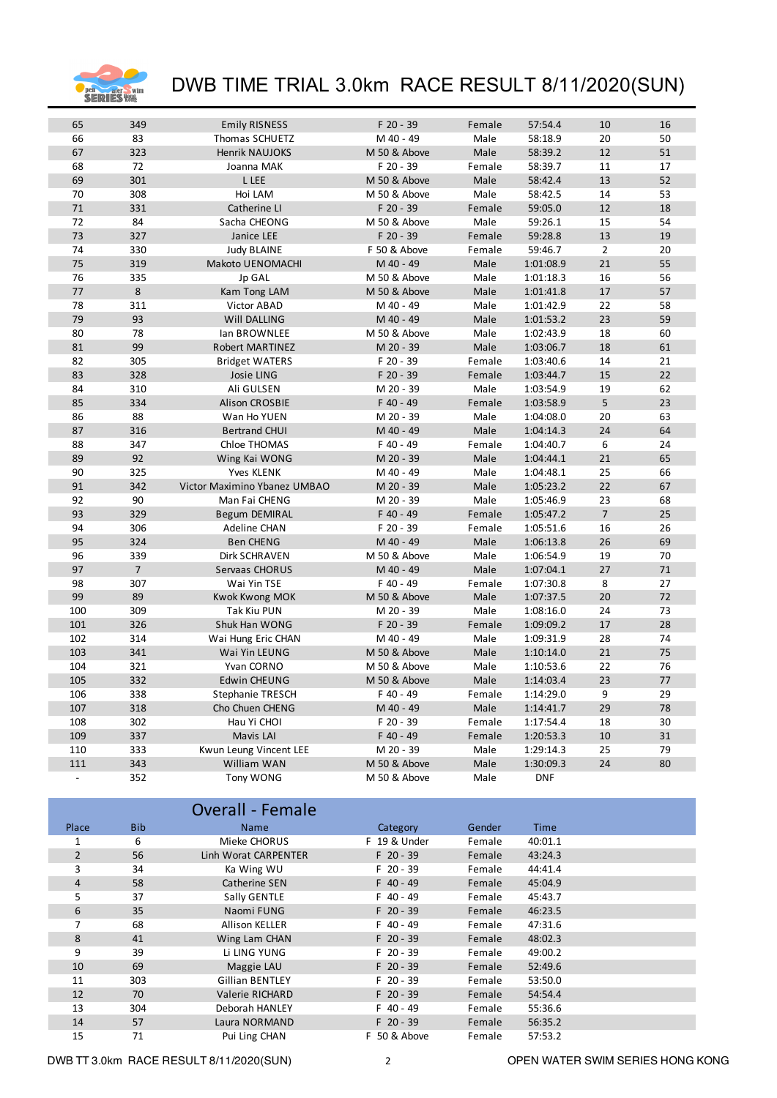

| 65             | 349            | <b>Emily RISNESS</b>         | F 20 - 39    | Female | 57:54.4    | 10             | 16 |
|----------------|----------------|------------------------------|--------------|--------|------------|----------------|----|
| 66             | 83             | Thomas SCHUETZ               | M 40 - 49    | Male   | 58:18.9    | 20             | 50 |
| 67             | 323            | <b>Henrik NAUJOKS</b>        | M 50 & Above | Male   | 58:39.2    | 12             | 51 |
| 68             | 72             | Joanna MAK                   | F 20 - 39    | Female | 58:39.7    | 11             | 17 |
| 69             | 301            | L LEE                        | M 50 & Above | Male   | 58:42.4    | 13             | 52 |
| 70             | 308            | Hoi LAM                      | M 50 & Above | Male   | 58:42.5    | 14             | 53 |
| 71             | 331            | Catherine LI                 | F 20 - 39    | Female | 59:05.0    | 12             | 18 |
| 72             | 84             | Sacha CHEONG                 | M 50 & Above | Male   | 59:26.1    | 15             | 54 |
| 73             | 327            | Janice LEE                   | F 20 - 39    | Female | 59:28.8    | 13             | 19 |
| 74             | 330            | <b>Judy BLAINE</b>           | F 50 & Above | Female | 59:46.7    | $\overline{2}$ | 20 |
| 75             | 319            | Makoto UENOMACHI             | M 40 - 49    | Male   | 1:01:08.9  | 21             | 55 |
| 76             | 335            | Jp GAL                       | M 50 & Above | Male   | 1:01:18.3  | 16             | 56 |
| 77             | 8              | Kam Tong LAM                 | M 50 & Above | Male   | 1:01:41.8  | 17             | 57 |
| 78             | 311            | Victor ABAD                  | M 40 - 49    | Male   | 1:01:42.9  | 22             | 58 |
| 79             | 93             | Will DALLING                 | M 40 - 49    | Male   | 1:01:53.2  | 23             | 59 |
| 80             | 78             | lan BROWNLEE                 | M 50 & Above | Male   | 1:02:43.9  | 18             | 60 |
| 81             | 99             | Robert MARTINEZ              | M 20 - 39    | Male   | 1:03:06.7  | 18             | 61 |
| 82             | 305            | <b>Bridget WATERS</b>        | F 20 - 39    | Female | 1:03:40.6  | 14             | 21 |
| 83             | 328            | <b>Josie LING</b>            | F 20 - 39    | Female | 1:03:44.7  | 15             | 22 |
| 84             | 310            | Ali GULSEN                   | M 20 - 39    | Male   | 1:03:54.9  | 19             | 62 |
| 85             | 334            | <b>Alison CROSBIE</b>        | F 40 - 49    | Female | 1:03:58.9  | 5              | 23 |
| 86             | 88             | Wan Ho YUEN                  | M 20 - 39    | Male   | 1:04:08.0  | 20             | 63 |
| 87             | 316            | <b>Bertrand CHUI</b>         | M 40 - 49    | Male   | 1:04:14.3  | 24             | 64 |
| 88             | 347            | Chloe THOMAS                 | F 40 - 49    | Female | 1:04:40.7  | 6              | 24 |
| 89             | 92             | Wing Kai WONG                | M 20 - 39    | Male   | 1:04:44.1  | 21             | 65 |
| 90             | 325            | Yves KLENK                   | M 40 - 49    | Male   | 1:04:48.1  | 25             | 66 |
| 91             | 342            | Victor Maximino Ybanez UMBAO | M 20 - 39    | Male   | 1:05:23.2  | 22             | 67 |
| 92             | 90             | Man Fai CHENG                | M 20 - 39    | Male   | 1:05:46.9  | 23             | 68 |
| 93             | 329            | <b>Begum DEMIRAL</b>         | F 40 - 49    | Female | 1:05:47.2  | $\overline{7}$ | 25 |
| 94             | 306            | Adeline CHAN                 | F 20 - 39    | Female | 1:05:51.6  | 16             | 26 |
| 95             | 324            | <b>Ben CHENG</b>             | M 40 - 49    | Male   | 1:06:13.8  | 26             | 69 |
| 96             | 339            | Dirk SCHRAVEN                | M 50 & Above | Male   | 1:06:54.9  | 19             | 70 |
| 97             | $\overline{7}$ | Servaas CHORUS               | M 40 - 49    | Male   | 1:07:04.1  | 27             | 71 |
| 98             | 307            | Wai Yin TSE                  | F 40 - 49    | Female | 1:07:30.8  | 8              | 27 |
| 99             | 89             | Kwok Kwong MOK               | M 50 & Above | Male   | 1:07:37.5  | 20             | 72 |
| 100            | 309            | Tak Kiu PUN                  | M 20 - 39    | Male   | 1:08:16.0  | 24             | 73 |
| 101            | 326            | Shuk Han WONG                | F 20 - 39    | Female | 1:09:09.2  | 17             | 28 |
| 102            | 314            | Wai Hung Eric CHAN           | M 40 - 49    | Male   | 1:09:31.9  | 28             | 74 |
| 103            | 341            | Wai Yin LEUNG                | M 50 & Above | Male   | 1:10:14.0  | 21             | 75 |
| 104            | 321            | Yvan CORNO                   | M 50 & Above | Male   | 1:10:53.6  | 22             | 76 |
| 105            | 332            | <b>Edwin CHEUNG</b>          | M 50 & Above | Male   | 1:14:03.4  | 23             | 77 |
| 106            | 338            | <b>Stephanie TRESCH</b>      | F 40 - 49    | Female | 1:14:29.0  | 9              | 29 |
| 107            | 318            | Cho Chuen CHENG              | M 40 - 49    | Male   | 1:14:41.7  | 29             | 78 |
| 108            | 302            | Hau Yi CHOI                  | F 20 - 39    | Female | 1:17:54.4  | 18             | 30 |
| 109            | 337            | Mavis LAI                    | F 40 - 49    | Female | 1:20:53.3  | 10             | 31 |
| 110            | 333            | Kwun Leung Vincent LEE       | M 20 - 39    | Male   | 1:29:14.3  | 25             | 79 |
| 111            | 343            | William WAN                  | M 50 & Above | Male   | 1:30:09.3  | 24             | 80 |
| $\overline{a}$ | 352            | <b>Tony WONG</b>             | M 50 & Above | Male   | <b>DNF</b> |                |    |
|                |                |                              |              |        |            |                |    |

|                |            | <b>Overall - Female</b> |              |        |             |
|----------------|------------|-------------------------|--------------|--------|-------------|
| Place          | <b>Bib</b> | <b>Name</b>             | Category     | Gender | <b>Time</b> |
|                | 6          | Mieke CHORUS            | F 19 & Under | Female | 40:01.1     |
| $\overline{2}$ | 56         | Linh Worat CARPENTER    | $F$ 20 - 39  | Female | 43:24.3     |
| 3              | 34         | Ka Wing WU              | $F$ 20 - 39  | Female | 44:41.4     |
| 4              | 58         | Catherine SEN           | $F$ 40 - 49  | Female | 45:04.9     |
| 5              | 37         | Sally GENTLE            | $F$ 40 - 49  | Female | 45:43.7     |
| 6              | 35         | Naomi FUNG              | $F$ 20 - 39  | Female | 46:23.5     |
| 7              | 68         | <b>Allison KELLER</b>   | $F$ 40 - 49  | Female | 47:31.6     |
| 8              | 41         | Wing Lam CHAN           | $F$ 20 - 39  | Female | 48:02.3     |
| 9              | 39         | Li LING YUNG            | $F$ 20 - 39  | Female | 49:00.2     |
| 10             | 69         | Maggie LAU              | $F$ 20 - 39  | Female | 52:49.6     |
| 11             | 303        | <b>Gillian BENTLEY</b>  | F 20 - 39    | Female | 53:50.0     |
| 12             | 70         | Valerie RICHARD         | $F$ 20 - 39  | Female | 54:54.4     |
| 13             | 304        | Deborah HANLEY          | $F$ 40 - 49  | Female | 55:36.6     |
| 14             | 57         | Laura NORMAND           | $F$ 20 - 39  | Female | 56:35.2     |
| 15             | 71         | Pui Ling CHAN           | F 50 & Above | Female | 57:53.2     |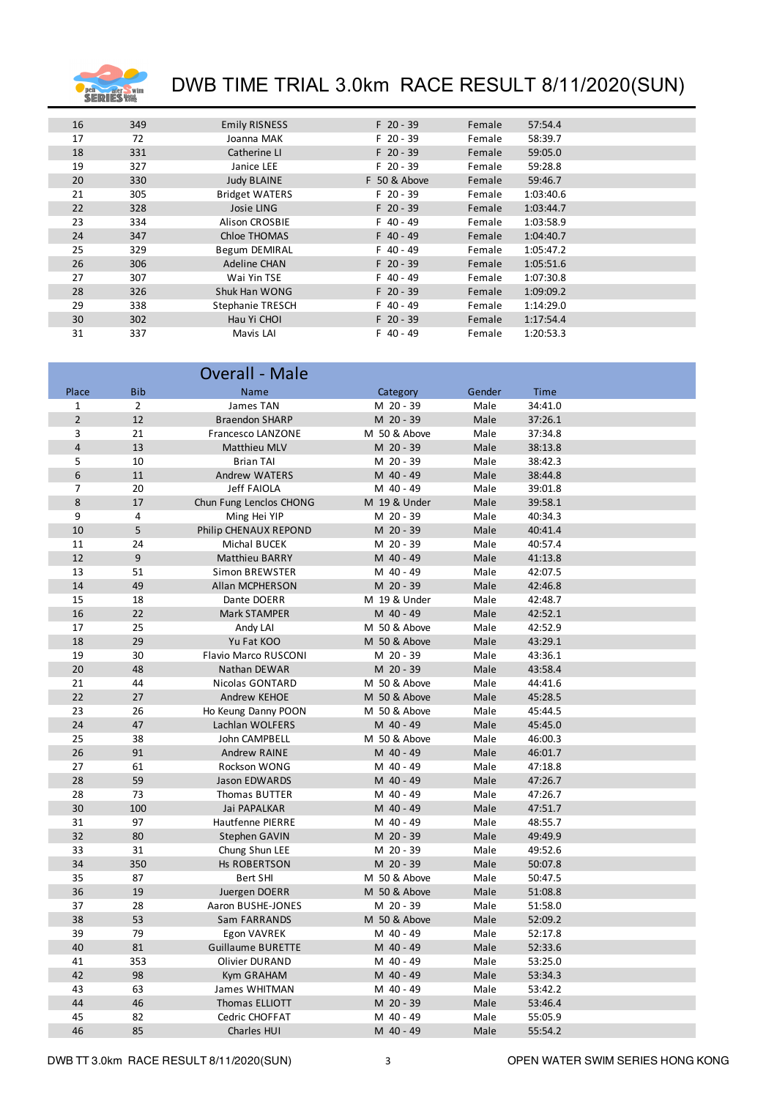

| 16 | 349 | <b>Emily RISNESS</b>  | $F$ 20 - 39  | Female | 57:54.4   |
|----|-----|-----------------------|--------------|--------|-----------|
| 17 | 72  | Joanna MAK            | $F$ 20 - 39  | Female | 58:39.7   |
| 18 | 331 | Catherine LI          | $F$ 20 - 39  | Female | 59:05.0   |
| 19 | 327 | Janice LEE            | $F$ 20 - 39  | Female | 59:28.8   |
| 20 | 330 | <b>Judy BLAINE</b>    | F 50 & Above | Female | 59:46.7   |
| 21 | 305 | <b>Bridget WATERS</b> | $F$ 20 - 39  | Female | 1:03:40.6 |
| 22 | 328 | Josie LING            | $F$ 20 - 39  | Female | 1:03:44.7 |
| 23 | 334 | <b>Alison CROSBIE</b> | F 40 - 49    | Female | 1:03:58.9 |
| 24 | 347 | Chloe THOMAS          | $F$ 40 - 49  | Female | 1:04:40.7 |
| 25 | 329 | <b>Begum DEMIRAL</b>  | $F$ 40 - 49  | Female | 1:05:47.2 |
| 26 | 306 | <b>Adeline CHAN</b>   | $F$ 20 - 39  | Female | 1:05:51.6 |
| 27 | 307 | Wai Yin TSE           | F 40 - 49    | Female | 1:07:30.8 |
| 28 | 326 | Shuk Han WONG         | $F$ 20 - 39  | Female | 1:09:09.2 |
| 29 | 338 | Stephanie TRESCH      | $F$ 40 - 49  | Female | 1:14:29.0 |
| 30 | 302 | Hau Yi CHOI           | $F$ 20 - 39  | Female | 1:17:54.4 |
| 31 | 337 | Mavis LAI             | $F$ 40 - 49  | Female | 1:20:53.3 |

|                |                | <b>Overall - Male</b>       |              |        |         |  |
|----------------|----------------|-----------------------------|--------------|--------|---------|--|
| Place          | <b>Bib</b>     | Name                        | Category     | Gender | Time    |  |
| $\mathbf 1$    | 2              | James TAN                   | M 20 - 39    | Male   | 34:41.0 |  |
| $\overline{2}$ | 12             | <b>Braendon SHARP</b>       | M 20 - 39    | Male   | 37:26.1 |  |
| 3              | 21             | Francesco LANZONE           | M 50 & Above | Male   | 37:34.8 |  |
| $\overline{4}$ | 13             | Matthieu MLV                | M 20 - 39    | Male   | 38:13.8 |  |
| 5              | 10             | <b>Brian TAI</b>            | M 20 - 39    | Male   | 38:42.3 |  |
| 6              | 11             | <b>Andrew WATERS</b>        | M 40 - 49    | Male   | 38:44.8 |  |
| $\overline{7}$ | 20             | <b>Jeff FAIOLA</b>          | M 40 - 49    | Male   | 39:01.8 |  |
| 8              | 17             | Chun Fung Lenclos CHONG     | M 19 & Under | Male   | 39:58.1 |  |
| 9              | $\overline{4}$ | Ming Hei YIP                | M 20 - 39    | Male   | 40:34.3 |  |
| 10             | 5              | Philip CHENAUX REPOND       | M 20 - 39    | Male   | 40:41.4 |  |
| 11             | 24             | Michal BUCEK                | M 20 - 39    | Male   | 40:57.4 |  |
| 12             | 9              | <b>Matthieu BARRY</b>       | M 40 - 49    | Male   | 41:13.8 |  |
| 13             | 51             | Simon BREWSTER              | M 40 - 49    | Male   | 42:07.5 |  |
| 14             | 49             | Allan MCPHERSON             | M 20 - 39    | Male   | 42:46.8 |  |
| 15             | 18             | Dante DOERR                 | M 19 & Under | Male   | 42:48.7 |  |
| 16             | 22             | Mark STAMPER                | M 40 - 49    | Male   | 42:52.1 |  |
| 17             | 25             | Andy LAI                    | M 50 & Above | Male   | 42:52.9 |  |
| 18             | 29             | Yu Fat KOO                  | M 50 & Above | Male   | 43:29.1 |  |
| 19             | 30             | <b>Flavio Marco RUSCONI</b> | M 20 - 39    | Male   | 43:36.1 |  |
| 20             | 48             | Nathan DEWAR                | M 20 - 39    | Male   | 43:58.4 |  |
| 21             | 44             | Nicolas GONTARD             | M 50 & Above | Male   | 44:41.6 |  |
| 22             | 27             | <b>Andrew KEHOE</b>         | M 50 & Above | Male   | 45:28.5 |  |
| 23             | 26             | Ho Keung Danny POON         | M 50 & Above | Male   | 45:44.5 |  |
| 24             | 47             | Lachlan WOLFERS             | M 40 - 49    | Male   | 45:45.0 |  |
| 25             | 38             | John CAMPBELL               | M 50 & Above | Male   | 46:00.3 |  |
| 26             | 91             | Andrew RAINE                | M 40 - 49    | Male   | 46:01.7 |  |
| 27             | 61             | Rockson WONG                | M 40 - 49    | Male   | 47:18.8 |  |
| 28             | 59             | Jason EDWARDS               | M 40 - 49    | Male   | 47:26.7 |  |
| 28             | 73             | Thomas BUTTER               | M 40 - 49    | Male   | 47:26.7 |  |
| 30             | 100            | Jai PAPALKAR                | M 40 - 49    | Male   | 47:51.7 |  |
| 31             | 97             | Hautfenne PIERRE            | M 40 - 49    | Male   | 48:55.7 |  |
| 32             | 80             | Stephen GAVIN               | M 20 - 39    | Male   | 49:49.9 |  |
| 33             | 31             | Chung Shun LEE              | M 20 - 39    | Male   | 49:52.6 |  |
| 34             | 350            | <b>Hs ROBERTSON</b>         | M 20 - 39    | Male   | 50:07.8 |  |
| 35             | 87             | <b>Bert SHI</b>             | M 50 & Above | Male   | 50:47.5 |  |
| 36             | 19             | Juergen DOERR               | M 50 & Above | Male   | 51:08.8 |  |
| 37             | 28             | Aaron BUSHE-JONES           | M 20 - 39    | Male   | 51:58.0 |  |
| 38             | 53             | Sam FARRANDS                | M 50 & Above | Male   | 52:09.2 |  |
| 39             | 79             | Egon VAVREK                 | M 40 - 49    | Male   | 52:17.8 |  |
| 40             | 81             | <b>Guillaume BURETTE</b>    | M 40 - 49    | Male   | 52:33.6 |  |
| 41             | 353            | Olivier DURAND              | M 40 - 49    | Male   | 53:25.0 |  |
| 42             | 98             | Kym GRAHAM                  | M 40 - 49    | Male   | 53:34.3 |  |
| 43             | 63             | James WHITMAN               | M 40 - 49    | Male   | 53:42.2 |  |
| 44             | 46             | Thomas ELLIOTT              | M 20 - 39    | Male   | 53:46.4 |  |
| 45             | 82             | Cedric CHOFFAT              | M 40 - 49    | Male   | 55:05.9 |  |
| 46             | 85             | Charles HUI                 | M 40 - 49    | Male   | 55:54.2 |  |
|                |                |                             |              |        |         |  |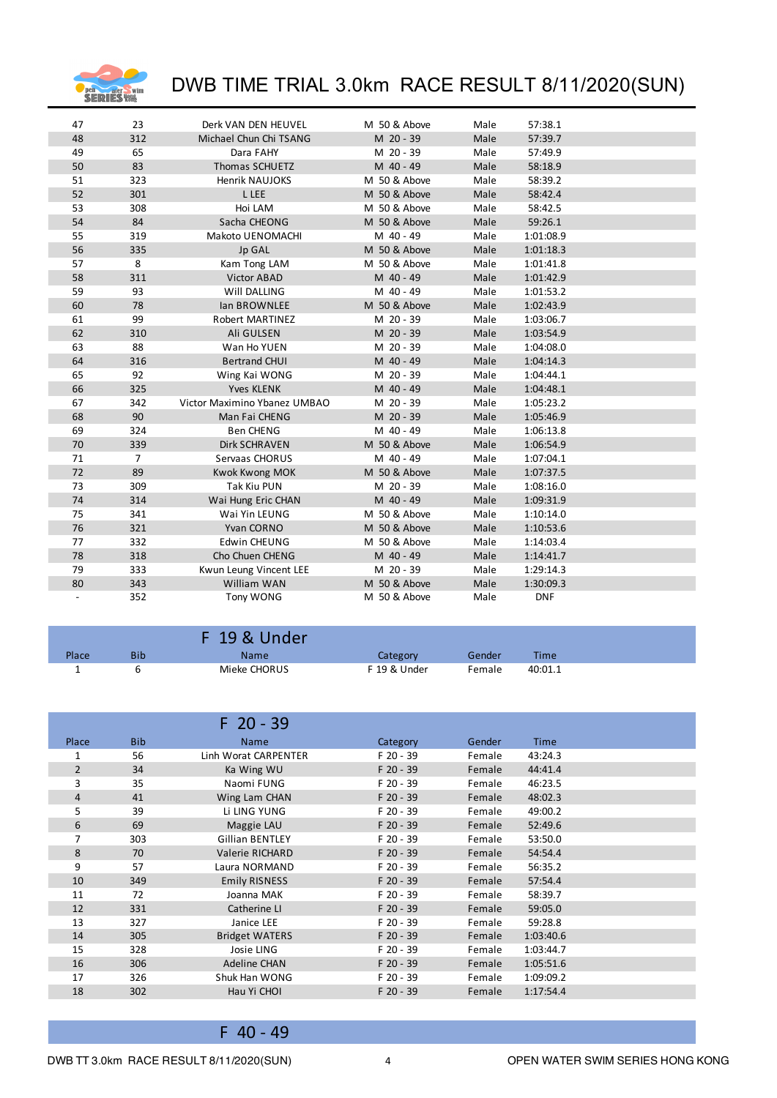

| 47 | 23  | Derk VAN DEN HEUVEL          | M 50 & Above | Male | 57:38.1    |  |
|----|-----|------------------------------|--------------|------|------------|--|
| 48 | 312 | Michael Chun Chi TSANG       | M 20 - 39    | Male | 57:39.7    |  |
| 49 | 65  | Dara FAHY                    | M 20 - 39    | Male | 57:49.9    |  |
| 50 | 83  | Thomas SCHUETZ               | M 40 - 49    | Male | 58:18.9    |  |
| 51 | 323 | <b>Henrik NAUJOKS</b>        | M 50 & Above | Male | 58:39.2    |  |
| 52 | 301 | L LEE                        | M 50 & Above | Male | 58:42.4    |  |
| 53 | 308 | Hoi LAM                      | M 50 & Above | Male | 58:42.5    |  |
| 54 | 84  | Sacha CHEONG                 | M 50 & Above | Male | 59:26.1    |  |
| 55 | 319 | Makoto UENOMACHI             | M 40 - 49    | Male | 1:01:08.9  |  |
| 56 | 335 | Jp GAL                       | M 50 & Above | Male | 1:01:18.3  |  |
| 57 | 8   | Kam Tong LAM                 | M 50 & Above | Male | 1:01:41.8  |  |
| 58 | 311 | <b>Victor ABAD</b>           | M 40 - 49    | Male | 1:01:42.9  |  |
| 59 | 93  | Will DALLING                 | M 40 - 49    | Male | 1:01:53.2  |  |
| 60 | 78  | <b>Ian BROWNLEE</b>          | M 50 & Above | Male | 1:02:43.9  |  |
| 61 | 99  | Robert MARTINEZ              | M 20 - 39    | Male | 1:03:06.7  |  |
| 62 | 310 | Ali GULSEN                   | M 20 - 39    | Male | 1:03:54.9  |  |
| 63 | 88  | Wan Ho YUEN                  | M 20 - 39    | Male | 1:04:08.0  |  |
| 64 | 316 | <b>Bertrand CHUI</b>         | M 40 - 49    | Male | 1:04:14.3  |  |
| 65 | 92  | Wing Kai WONG                | M 20 - 39    | Male | 1:04:44.1  |  |
| 66 | 325 | <b>Yves KLENK</b>            | M 40 - 49    | Male | 1:04:48.1  |  |
| 67 | 342 | Victor Maximino Ybanez UMBAO | M 20 - 39    | Male | 1:05:23.2  |  |
| 68 | 90  | Man Fai CHENG                | M 20 - 39    | Male | 1:05:46.9  |  |
| 69 | 324 | <b>Ben CHENG</b>             | M 40 - 49    | Male | 1:06:13.8  |  |
| 70 | 339 | <b>Dirk SCHRAVEN</b>         | M 50 & Above | Male | 1:06:54.9  |  |
| 71 | 7   | Servaas CHORUS               | M 40 - 49    | Male | 1:07:04.1  |  |
| 72 | 89  | Kwok Kwong MOK               | M 50 & Above | Male | 1:07:37.5  |  |
| 73 | 309 | <b>Tak Kiu PUN</b>           | M 20 - 39    | Male | 1:08:16.0  |  |
| 74 | 314 | Wai Hung Eric CHAN           | M 40 - 49    | Male | 1:09:31.9  |  |
| 75 | 341 | Wai Yin LEUNG                | M 50 & Above | Male | 1:10:14.0  |  |
| 76 | 321 | Yvan CORNO                   | M 50 & Above | Male | 1:10:53.6  |  |
| 77 | 332 | <b>Edwin CHEUNG</b>          | M 50 & Above | Male | 1:14:03.4  |  |
| 78 | 318 | Cho Chuen CHENG              | M 40 - 49    | Male | 1:14:41.7  |  |
| 79 | 333 | Kwun Leung Vincent LEE       | M 20 - 39    | Male | 1:29:14.3  |  |
| 80 | 343 | William WAN                  | M 50 & Above | Male | 1:30:09.3  |  |
|    | 352 | Tony WONG                    | M 50 & Above | Male | <b>DNF</b> |  |
|    |     |                              |              |      |            |  |

|       |     | F 19 & Under |              |        |         |
|-------|-----|--------------|--------------|--------|---------|
| Place | Bib | <b>Name</b>  | Category     | Gender | Time    |
|       |     | Mieke CHORUS | F 19 & Under | Female | 40:01.1 |

|                |            | $F$ 20 - 39            |           |        |             |
|----------------|------------|------------------------|-----------|--------|-------------|
| Place          | <b>Bib</b> | <b>Name</b>            | Category  | Gender | <b>Time</b> |
| 1              | 56         | Linh Worat CARPENTER   | F 20 - 39 | Female | 43:24.3     |
| $\overline{2}$ | 34         | Ka Wing WU             | F 20 - 39 | Female | 44:41.4     |
| 3              | 35         | Naomi FUNG             | F 20 - 39 | Female | 46:23.5     |
| $\overline{4}$ | 41         | Wing Lam CHAN          | F 20 - 39 | Female | 48:02.3     |
| 5              | 39         | Li LING YUNG           | F 20 - 39 | Female | 49:00.2     |
| 6              | 69         | Maggie LAU             | F 20 - 39 | Female | 52:49.6     |
| 7              | 303        | <b>Gillian BENTLEY</b> | F 20 - 39 | Female | 53:50.0     |
| 8              | 70         | Valerie RICHARD        | F 20 - 39 | Female | 54:54.4     |
| 9              | 57         | Laura NORMAND          | F 20 - 39 | Female | 56:35.2     |
| 10             | 349        | <b>Emily RISNESS</b>   | F 20 - 39 | Female | 57:54.4     |
| 11             | 72         | Joanna MAK             | F 20 - 39 | Female | 58:39.7     |
| 12             | 331        | Catherine LI           | F 20 - 39 | Female | 59:05.0     |
| 13             | 327        | Janice LEE             | F 20 - 39 | Female | 59:28.8     |
| 14             | 305        | <b>Bridget WATERS</b>  | F 20 - 39 | Female | 1:03:40.6   |
| 15             | 328        | Josie LING             | F 20 - 39 | Female | 1:03:44.7   |
| 16             | 306        | Adeline CHAN           | F 20 - 39 | Female | 1:05:51.6   |
| 17             | 326        | Shuk Han WONG          | F 20 - 39 | Female | 1:09:09.2   |
| 18             | 302        | Hau Yi CHOI            | F 20 - 39 | Female | 1:17:54.4   |

F 40 - 49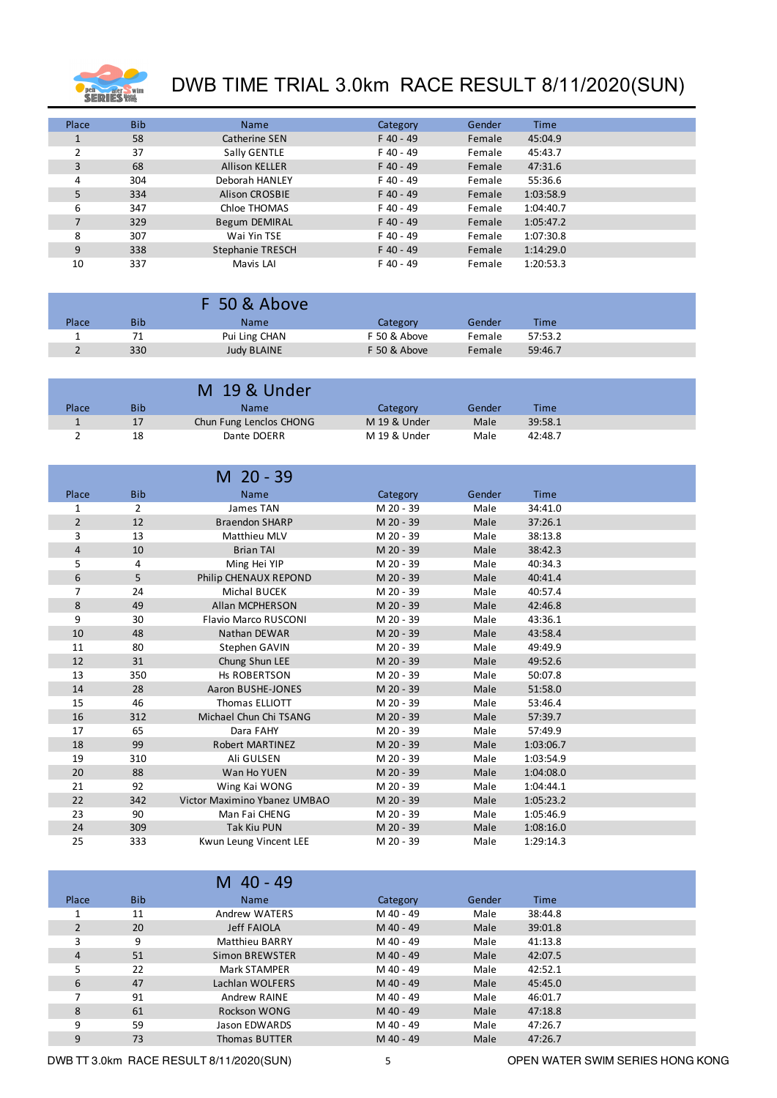

| Place | <b>Bib</b> | <b>Name</b>             | Category    | Gender | <b>Time</b> |  |
|-------|------------|-------------------------|-------------|--------|-------------|--|
|       | 58         | Catherine SEN           | $F$ 40 - 49 | Female | 45:04.9     |  |
|       | 37         | Sally GENTLE            | F 40 - 49   | Female | 45:43.7     |  |
| 3     | 68         | <b>Allison KELLER</b>   | $F$ 40 - 49 | Female | 47:31.6     |  |
| 4     | 304        | Deborah HANLEY          | F 40 - 49   | Female | 55:36.6     |  |
| 5     | 334        | <b>Alison CROSBIE</b>   | $F$ 40 - 49 | Female | 1:03:58.9   |  |
| 6     | 347        | Chloe THOMAS            | F 40 - 49   | Female | 1:04:40.7   |  |
| 7     | 329        | Begum DEMIRAL           | $F$ 40 - 49 | Female | 1:05:47.2   |  |
| 8     | 307        | Wai Yin TSE             | F 40 - 49   | Female | 1:07:30.8   |  |
| 9     | 338        | <b>Stephanie TRESCH</b> | $F$ 40 - 49 | Female | 1:14:29.0   |  |
| 10    | 337        | Mavis LAI               | F 40 - 49   | Female | 1:20:53.3   |  |

|       |            | F 50 & Above       |              |        |         |
|-------|------------|--------------------|--------------|--------|---------|
| Place | <b>Bib</b> | <b>Name</b>        | Category     | Gender | Time    |
|       | 71         | Pui Ling CHAN      | F 50 & Above | Female | 57:53.2 |
|       | 330        | <b>Judy BLAINE</b> | F 50 & Above | Female | 59:46.7 |

|       |     | M 19 & Under            |              |        |         |
|-------|-----|-------------------------|--------------|--------|---------|
| Place | Bib | Name                    | Category     | Gender | Time    |
|       | 17  | Chun Fung Lenclos CHONG | M 19 & Under | Male   | 39:58.1 |
|       | 18  | Dante DOERR             | M 19 & Under | Male   | 42:48.7 |
|       |     |                         |              |        |         |

|                |            | M 20 - 39                    |           |        |             |  |
|----------------|------------|------------------------------|-----------|--------|-------------|--|
| Place          | <b>Bib</b> | <b>Name</b>                  | Category  | Gender | <b>Time</b> |  |
| 1              | 2          | James TAN                    | M 20 - 39 | Male   | 34:41.0     |  |
| $\overline{2}$ | 12         | <b>Braendon SHARP</b>        | M 20 - 39 | Male   | 37:26.1     |  |
| 3              | 13         | Matthieu MLV                 | M 20 - 39 | Male   | 38:13.8     |  |
| 4              | 10         | <b>Brian TAI</b>             | M 20 - 39 | Male   | 38:42.3     |  |
| 5              | 4          | Ming Hei YIP                 | M 20 - 39 | Male   | 40:34.3     |  |
| 6              | 5          | Philip CHENAUX REPOND        | M 20 - 39 | Male   | 40:41.4     |  |
| 7              | 24         | <b>Michal BUCEK</b>          | M 20 - 39 | Male   | 40:57.4     |  |
| 8              | 49         | <b>Allan MCPHERSON</b>       | M 20 - 39 | Male   | 42:46.8     |  |
| 9              | 30         | <b>Flavio Marco RUSCONI</b>  | M 20 - 39 | Male   | 43:36.1     |  |
| 10             | 48         | Nathan DEWAR                 | M 20 - 39 | Male   | 43:58.4     |  |
| 11             | 80         | Stephen GAVIN                | M 20 - 39 | Male   | 49:49.9     |  |
| 12             | 31         | Chung Shun LEE               | M 20 - 39 | Male   | 49:52.6     |  |
| 13             | 350        | <b>Hs ROBERTSON</b>          | M 20 - 39 | Male   | 50:07.8     |  |
| 14             | 28         | Aaron BUSHE-JONES            | M 20 - 39 | Male   | 51:58.0     |  |
| 15             | 46         | <b>Thomas ELLIOTT</b>        | M 20 - 39 | Male   | 53:46.4     |  |
| 16             | 312        | Michael Chun Chi TSANG       | M 20 - 39 | Male   | 57:39.7     |  |
| 17             | 65         | Dara FAHY                    | M 20 - 39 | Male   | 57:49.9     |  |
| 18             | 99         | <b>Robert MARTINEZ</b>       | M 20 - 39 | Male   | 1:03:06.7   |  |
| 19             | 310        | Ali GULSEN                   | M 20 - 39 | Male   | 1:03:54.9   |  |
| 20             | 88         | Wan Ho YUEN                  | M 20 - 39 | Male   | 1:04:08.0   |  |
| 21             | 92         | Wing Kai WONG                | M 20 - 39 | Male   | 1:04:44.1   |  |
| 22             | 342        | Victor Maximino Ybanez UMBAO | M 20 - 39 | Male   | 1:05:23.2   |  |
| 23             | 90         | Man Fai CHENG                | M 20 - 39 | Male   | 1:05:46.9   |  |
| 24             | 309        | <b>Tak Kiu PUN</b>           | M 20 - 39 | Male   | 1:08:16.0   |  |
| 25             | 333        | Kwun Leung Vincent LEE       | M 20 - 39 | Male   | 1:29:14.3   |  |

|       |            | $40 - 49$<br>м        |           |        |             |
|-------|------------|-----------------------|-----------|--------|-------------|
| Place | <b>Bib</b> | <b>Name</b>           | Category  | Gender | <b>Time</b> |
|       | 11         | Andrew WATERS         | M 40 - 49 | Male   | 38:44.8     |
|       | 20         | <b>Jeff FAIOLA</b>    | M 40 - 49 | Male   | 39:01.8     |
| 3     | 9          | <b>Matthieu BARRY</b> | M 40 - 49 | Male   | 41:13.8     |
| 4     | 51         | Simon BREWSTER        | M 40 - 49 | Male   | 42:07.5     |
| 5     | 22         | <b>Mark STAMPER</b>   | M 40 - 49 | Male   | 42:52.1     |
| 6     | 47         | Lachlan WOLFERS       | M 40 - 49 | Male   | 45:45.0     |
|       | 91         | Andrew RAINE          | M 40 - 49 | Male   | 46:01.7     |
| 8     | 61         | Rockson WONG          | M 40 - 49 | Male   | 47:18.8     |
| 9     | 59         | Jason EDWARDS         | M 40 - 49 | Male   | 47:26.7     |
| 9     | 73         | <b>Thomas BUTTER</b>  | M 40 - 49 | Male   | 47:26.7     |